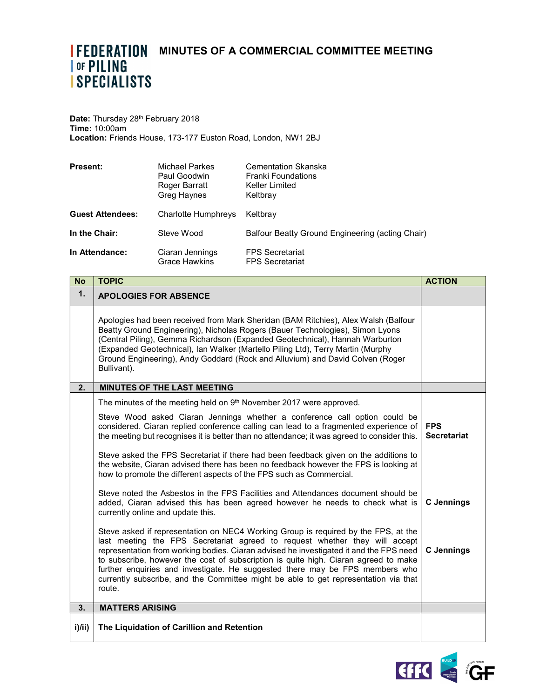## **IFEDERATION MINUTES OF A COMMERCIAL COMMITTEE MEETING ISPECIALISTS**

Date: Thursday 28<sup>th</sup> February 2018 Time: 10:00am Location: Friends House, 173-177 Euston Road, London, NW1 2BJ

| <b>Present:</b>         | Michael Parkes<br>Paul Goodwin<br>Roger Barratt<br>Greg Haynes | <b>Cementation Skanska</b><br><b>Franki Foundations</b><br>Keller Limited<br>Keltbray |
|-------------------------|----------------------------------------------------------------|---------------------------------------------------------------------------------------|
| <b>Guest Attendees:</b> | Charlotte Humphreys                                            | Keltbray                                                                              |
| In the Chair:           | Steve Wood                                                     | Balfour Beatty Ground Engineering (acting Chair)                                      |
| In Attendance:          | Ciaran Jennings<br><b>Grace Hawkins</b>                        | <b>FPS Secretariat</b><br><b>FPS Secretariat</b>                                      |

| <b>No</b> | <b>TOPIC</b>                                                                                                                                                                                                                                                                                                                                                                                                                                                                                                                        | <b>ACTION</b>                    |
|-----------|-------------------------------------------------------------------------------------------------------------------------------------------------------------------------------------------------------------------------------------------------------------------------------------------------------------------------------------------------------------------------------------------------------------------------------------------------------------------------------------------------------------------------------------|----------------------------------|
| 1.        | <b>APOLOGIES FOR ABSENCE</b>                                                                                                                                                                                                                                                                                                                                                                                                                                                                                                        |                                  |
|           | Apologies had been received from Mark Sheridan (BAM Ritchies), Alex Walsh (Balfour<br>Beatty Ground Engineering), Nicholas Rogers (Bauer Technologies), Simon Lyons<br>(Central Piling), Gemma Richardson (Expanded Geotechnical), Hannah Warburton<br>(Expanded Geotechnical), Ian Walker (Martello Piling Ltd), Terry Martin (Murphy<br>Ground Engineering), Andy Goddard (Rock and Alluvium) and David Colven (Roger<br>Bullivant).                                                                                              |                                  |
| 2.        | <b>MINUTES OF THE LAST MEETING</b>                                                                                                                                                                                                                                                                                                                                                                                                                                                                                                  |                                  |
|           | The minutes of the meeting held on 9th November 2017 were approved.                                                                                                                                                                                                                                                                                                                                                                                                                                                                 |                                  |
|           | Steve Wood asked Ciaran Jennings whether a conference call option could be<br>considered. Ciaran replied conference calling can lead to a fragmented experience of<br>the meeting but recognises it is better than no attendance; it was agreed to consider this.                                                                                                                                                                                                                                                                   | <b>FPS</b><br><b>Secretariat</b> |
|           | Steve asked the FPS Secretariat if there had been feedback given on the additions to<br>the website, Ciaran advised there has been no feedback however the FPS is looking at<br>how to promote the different aspects of the FPS such as Commercial.                                                                                                                                                                                                                                                                                 |                                  |
|           | Steve noted the Asbestos in the FPS Facilities and Attendances document should be<br>added, Ciaran advised this has been agreed however he needs to check what is<br>currently online and update this.                                                                                                                                                                                                                                                                                                                              | <b>C</b> Jennings                |
|           | Steve asked if representation on NEC4 Working Group is required by the FPS, at the<br>last meeting the FPS Secretariat agreed to request whether they will accept<br>representation from working bodies. Ciaran advised he investigated it and the FPS need<br>to subscribe, however the cost of subscription is quite high. Ciaran agreed to make<br>further enquiries and investigate. He suggested there may be FPS members who<br>currently subscribe, and the Committee might be able to get representation via that<br>route. | <b>C</b> Jennings                |
| 3.        | <b>MATTERS ARISING</b>                                                                                                                                                                                                                                                                                                                                                                                                                                                                                                              |                                  |
| i)/ii)    | The Liquidation of Carillion and Retention                                                                                                                                                                                                                                                                                                                                                                                                                                                                                          |                                  |

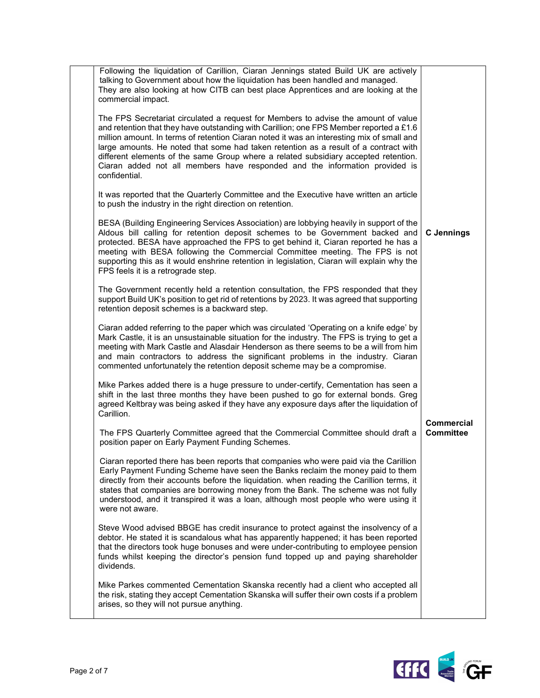| Following the liquidation of Carillion, Ciaran Jennings stated Build UK are actively<br>talking to Government about how the liquidation has been handled and managed.<br>They are also looking at how CITB can best place Apprentices and are looking at the<br>commercial impact.                                                                                                                                                                                                                                                                        |                                |
|-----------------------------------------------------------------------------------------------------------------------------------------------------------------------------------------------------------------------------------------------------------------------------------------------------------------------------------------------------------------------------------------------------------------------------------------------------------------------------------------------------------------------------------------------------------|--------------------------------|
| The FPS Secretariat circulated a request for Members to advise the amount of value<br>and retention that they have outstanding with Carillion; one FPS Member reported a £1.6<br>million amount. In terms of retention Ciaran noted it was an interesting mix of small and<br>large amounts. He noted that some had taken retention as a result of a contract with<br>different elements of the same Group where a related subsidiary accepted retention.<br>Ciaran added not all members have responded and the information provided is<br>confidential. |                                |
| It was reported that the Quarterly Committee and the Executive have written an article<br>to push the industry in the right direction on retention.                                                                                                                                                                                                                                                                                                                                                                                                       |                                |
| BESA (Building Engineering Services Association) are lobbying heavily in support of the<br>Aldous bill calling for retention deposit schemes to be Government backed and<br>protected. BESA have approached the FPS to get behind it, Ciaran reported he has a<br>meeting with BESA following the Commercial Committee meeting. The FPS is not<br>supporting this as it would enshrine retention in legislation, Ciaran will explain why the<br>FPS feels it is a retrograde step.                                                                        | <b>C</b> Jennings              |
| The Government recently held a retention consultation, the FPS responded that they<br>support Build UK's position to get rid of retentions by 2023. It was agreed that supporting<br>retention deposit schemes is a backward step.                                                                                                                                                                                                                                                                                                                        |                                |
| Ciaran added referring to the paper which was circulated 'Operating on a knife edge' by<br>Mark Castle, it is an unsustainable situation for the industry. The FPS is trying to get a<br>meeting with Mark Castle and Alasdair Henderson as there seems to be a will from him<br>and main contractors to address the significant problems in the industry. Ciaran<br>commented unfortunately the retention deposit scheme may be a compromise.                                                                                                            |                                |
| Mike Parkes added there is a huge pressure to under-certify, Cementation has seen a<br>shift in the last three months they have been pushed to go for external bonds. Greg<br>agreed Keltbray was being asked if they have any exposure days after the liquidation of<br>Carillion.                                                                                                                                                                                                                                                                       |                                |
| The FPS Quarterly Committee agreed that the Commercial Committee should draft a<br>position paper on Early Payment Funding Schemes.                                                                                                                                                                                                                                                                                                                                                                                                                       | Commercial<br><b>Committee</b> |
| Ciaran reported there has been reports that companies who were paid via the Carillion<br>Early Payment Funding Scheme have seen the Banks reclaim the money paid to them<br>directly from their accounts before the liquidation. when reading the Carillion terms, it<br>states that companies are borrowing money from the Bank. The scheme was not fully<br>understood, and it transpired it was a loan, although most people who were using it<br>were not aware.                                                                                      |                                |
| Steve Wood advised BBGE has credit insurance to protect against the insolvency of a<br>debtor. He stated it is scandalous what has apparently happened; it has been reported<br>that the directors took huge bonuses and were under-contributing to employee pension<br>funds whilst keeping the director's pension fund topped up and paying shareholder<br>dividends.                                                                                                                                                                                   |                                |
| Mike Parkes commented Cementation Skanska recently had a client who accepted all<br>the risk, stating they accept Cementation Skanska will suffer their own costs if a problem<br>arises, so they will not pursue anything.                                                                                                                                                                                                                                                                                                                               |                                |

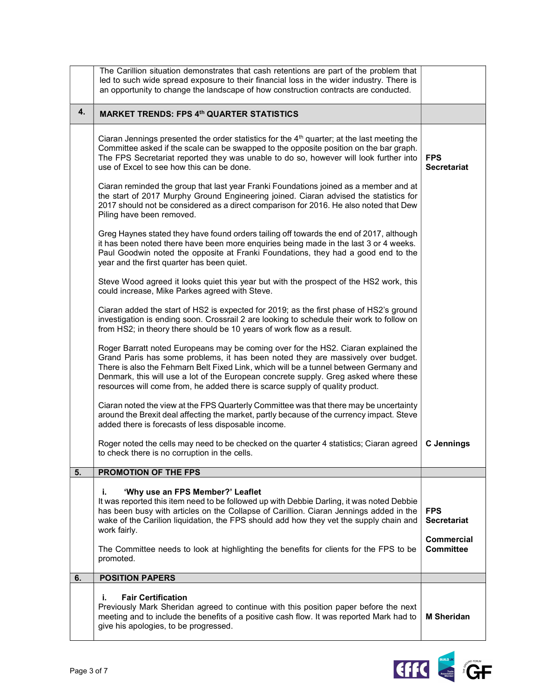|    | The Carillion situation demonstrates that cash retentions are part of the problem that<br>led to such wide spread exposure to their financial loss in the wider industry. There is<br>an opportunity to change the landscape of how construction contracts are conducted.                                                                                                                                                                |                                                       |
|----|------------------------------------------------------------------------------------------------------------------------------------------------------------------------------------------------------------------------------------------------------------------------------------------------------------------------------------------------------------------------------------------------------------------------------------------|-------------------------------------------------------|
| 4. | <b>MARKET TRENDS: FPS 4th QUARTER STATISTICS</b>                                                                                                                                                                                                                                                                                                                                                                                         |                                                       |
|    | Ciaran Jennings presented the order statistics for the $4th$ quarter; at the last meeting the<br>Committee asked if the scale can be swapped to the opposite position on the bar graph.<br>The FPS Secretariat reported they was unable to do so, however will look further into<br>use of Excel to see how this can be done.                                                                                                            | <b>FPS</b><br><b>Secretariat</b>                      |
|    | Ciaran reminded the group that last year Franki Foundations joined as a member and at<br>the start of 2017 Murphy Ground Engineering joined. Ciaran advised the statistics for<br>2017 should not be considered as a direct comparison for 2016. He also noted that Dew<br>Piling have been removed.                                                                                                                                     |                                                       |
|    | Greg Haynes stated they have found orders tailing off towards the end of 2017, although<br>it has been noted there have been more enquiries being made in the last 3 or 4 weeks.<br>Paul Goodwin noted the opposite at Franki Foundations, they had a good end to the<br>year and the first quarter has been quiet.                                                                                                                      |                                                       |
|    | Steve Wood agreed it looks quiet this year but with the prospect of the HS2 work, this<br>could increase, Mike Parkes agreed with Steve.                                                                                                                                                                                                                                                                                                 |                                                       |
|    | Ciaran added the start of HS2 is expected for 2019; as the first phase of HS2's ground<br>investigation is ending soon. Crossrail 2 are looking to schedule their work to follow on<br>from HS2; in theory there should be 10 years of work flow as a result.                                                                                                                                                                            |                                                       |
|    | Roger Barratt noted Europeans may be coming over for the HS2. Ciaran explained the<br>Grand Paris has some problems, it has been noted they are massively over budget.<br>There is also the Fehmarn Belt Fixed Link, which will be a tunnel between Germany and<br>Denmark, this will use a lot of the European concrete supply. Greg asked where these<br>resources will come from, he added there is scarce supply of quality product. |                                                       |
|    | Ciaran noted the view at the FPS Quarterly Committee was that there may be uncertainty<br>around the Brexit deal affecting the market, partly because of the currency impact. Steve<br>added there is forecasts of less disposable income.                                                                                                                                                                                               |                                                       |
|    | Roger noted the cells may need to be checked on the quarter 4 statistics; Ciaran agreed<br>to check there is no corruption in the cells.                                                                                                                                                                                                                                                                                                 | <b>C</b> Jennings                                     |
| 5. | PROMOTION OF THE FPS                                                                                                                                                                                                                                                                                                                                                                                                                     |                                                       |
|    | 'Why use an FPS Member?' Leaflet<br>i.<br>It was reported this item need to be followed up with Debbie Darling, it was noted Debbie<br>has been busy with articles on the Collapse of Carillion. Ciaran Jennings added in the<br>wake of the Carilion liquidation, the FPS should add how they vet the supply chain and<br>work fairly.                                                                                                  | <b>FPS</b><br><b>Secretariat</b><br><b>Commercial</b> |
|    | The Committee needs to look at highlighting the benefits for clients for the FPS to be<br>promoted.                                                                                                                                                                                                                                                                                                                                      | <b>Committee</b>                                      |
| 6. | <b>POSITION PAPERS</b>                                                                                                                                                                                                                                                                                                                                                                                                                   |                                                       |
|    | <b>Fair Certification</b><br>i.<br>Previously Mark Sheridan agreed to continue with this position paper before the next<br>meeting and to include the benefits of a positive cash flow. It was reported Mark had to<br>give his apologies, to be progressed.                                                                                                                                                                             | <b>M</b> Sheridan                                     |

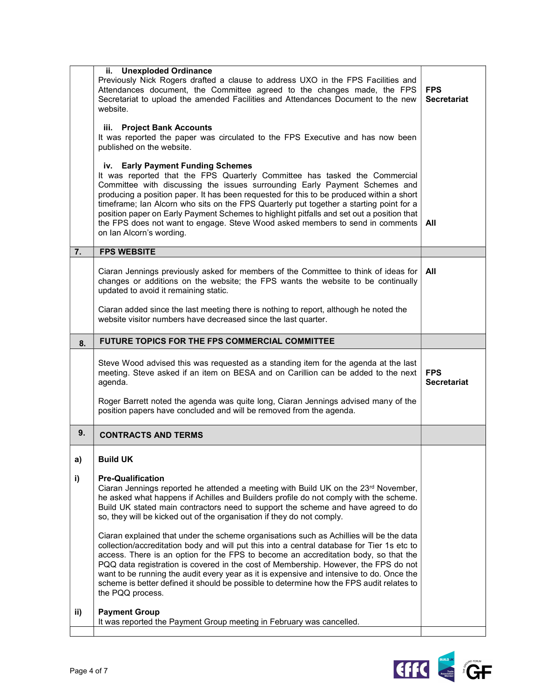|           | ii. Unexploded Ordinance<br>Previously Nick Rogers drafted a clause to address UXO in the FPS Facilities and<br>Attendances document, the Committee agreed to the changes made, the FPS<br>Secretariat to upload the amended Facilities and Attendances Document to the new<br>website.<br>iii. Project Bank Accounts<br>It was reported the paper was circulated to the FPS Executive and has now been<br>published on the website.<br>iv. Early Payment Funding Schemes<br>It was reported that the FPS Quarterly Committee has tasked the Commercial<br>Committee with discussing the issues surrounding Early Payment Schemes and<br>producing a position paper. It has been requested for this to be produced within a short<br>timeframe; Ian Alcorn who sits on the FPS Quarterly put together a starting point for a<br>position paper on Early Payment Schemes to highlight pitfalls and set out a position that<br>the FPS does not want to engage. Steve Wood asked members to send in comments<br>on Ian Alcorn's wording. | <b>FPS</b><br><b>Secretariat</b><br>All |
|-----------|----------------------------------------------------------------------------------------------------------------------------------------------------------------------------------------------------------------------------------------------------------------------------------------------------------------------------------------------------------------------------------------------------------------------------------------------------------------------------------------------------------------------------------------------------------------------------------------------------------------------------------------------------------------------------------------------------------------------------------------------------------------------------------------------------------------------------------------------------------------------------------------------------------------------------------------------------------------------------------------------------------------------------------------|-----------------------------------------|
| 7.        | <b>FPS WEBSITE</b>                                                                                                                                                                                                                                                                                                                                                                                                                                                                                                                                                                                                                                                                                                                                                                                                                                                                                                                                                                                                                     |                                         |
|           | Ciaran Jennings previously asked for members of the Committee to think of ideas for<br>changes or additions on the website; the FPS wants the website to be continually<br>updated to avoid it remaining static.                                                                                                                                                                                                                                                                                                                                                                                                                                                                                                                                                                                                                                                                                                                                                                                                                       | All                                     |
|           | Ciaran added since the last meeting there is nothing to report, although he noted the<br>website visitor numbers have decreased since the last quarter.                                                                                                                                                                                                                                                                                                                                                                                                                                                                                                                                                                                                                                                                                                                                                                                                                                                                                |                                         |
| 8.        | <b>FUTURE TOPICS FOR THE FPS COMMERCIAL COMMITTEE</b>                                                                                                                                                                                                                                                                                                                                                                                                                                                                                                                                                                                                                                                                                                                                                                                                                                                                                                                                                                                  |                                         |
|           | Steve Wood advised this was requested as a standing item for the agenda at the last                                                                                                                                                                                                                                                                                                                                                                                                                                                                                                                                                                                                                                                                                                                                                                                                                                                                                                                                                    |                                         |
|           | meeting. Steve asked if an item on BESA and on Carillion can be added to the next<br>agenda.<br>Roger Barrett noted the agenda was quite long, Ciaran Jennings advised many of the<br>position papers have concluded and will be removed from the agenda.                                                                                                                                                                                                                                                                                                                                                                                                                                                                                                                                                                                                                                                                                                                                                                              | <b>FPS</b><br><b>Secretariat</b>        |
| 9.        | <b>CONTRACTS AND TERMS</b>                                                                                                                                                                                                                                                                                                                                                                                                                                                                                                                                                                                                                                                                                                                                                                                                                                                                                                                                                                                                             |                                         |
| a)        | <b>Build UK</b>                                                                                                                                                                                                                                                                                                                                                                                                                                                                                                                                                                                                                                                                                                                                                                                                                                                                                                                                                                                                                        |                                         |
| i)<br>ii) | <b>Pre-Qualification</b><br>Ciaran Jennings reported he attended a meeting with Build UK on the 23rd November,<br>he asked what happens if Achilles and Builders profile do not comply with the scheme.<br>Build UK stated main contractors need to support the scheme and have agreed to do<br>so, they will be kicked out of the organisation if they do not comply.<br>Ciaran explained that under the scheme organisations such as Achillies will be the data<br>collection/accreditation body and will put this into a central database for Tier 1s etc to<br>access. There is an option for the FPS to become an accreditation body, so that the<br>PQQ data registration is covered in the cost of Membership. However, the FPS do not<br>want to be running the audit every year as it is expensive and intensive to do. Once the<br>scheme is better defined it should be possible to determine how the FPS audit relates to<br>the PQQ process.<br><b>Payment Group</b>                                                      |                                         |

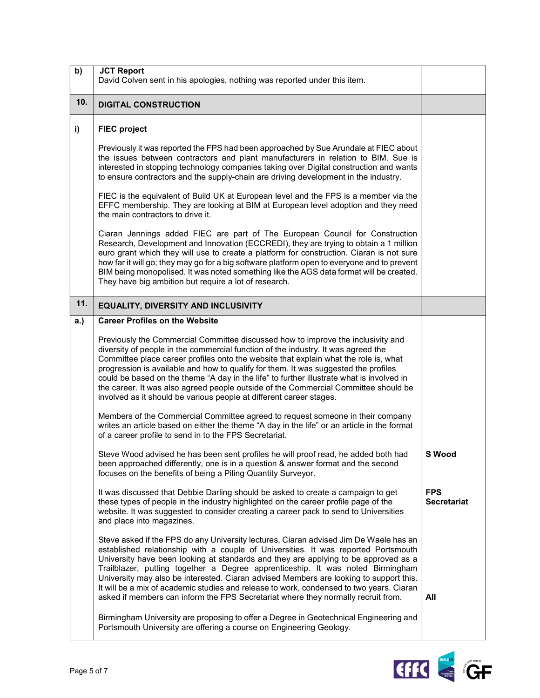| b)  | <b>JCT Report</b><br>David Colven sent in his apologies, nothing was reported under this item.                                                                                                                                                                                                                                                                                                                                                                                                                                                                                                                                  |                                  |
|-----|---------------------------------------------------------------------------------------------------------------------------------------------------------------------------------------------------------------------------------------------------------------------------------------------------------------------------------------------------------------------------------------------------------------------------------------------------------------------------------------------------------------------------------------------------------------------------------------------------------------------------------|----------------------------------|
| 10. | <b>DIGITAL CONSTRUCTION</b>                                                                                                                                                                                                                                                                                                                                                                                                                                                                                                                                                                                                     |                                  |
| i)  | <b>FIEC project</b>                                                                                                                                                                                                                                                                                                                                                                                                                                                                                                                                                                                                             |                                  |
|     | Previously it was reported the FPS had been approached by Sue Arundale at FIEC about<br>the issues between contractors and plant manufacturers in relation to BIM. Sue is<br>interested in stopping technology companies taking over Digital construction and wants<br>to ensure contractors and the supply-chain are driving development in the industry.                                                                                                                                                                                                                                                                      |                                  |
|     | FIEC is the equivalent of Build UK at European level and the FPS is a member via the<br>EFFC membership. They are looking at BIM at European level adoption and they need<br>the main contractors to drive it.                                                                                                                                                                                                                                                                                                                                                                                                                  |                                  |
|     | Ciaran Jennings added FIEC are part of The European Council for Construction<br>Research, Development and Innovation (ECCREDI), they are trying to obtain a 1 million<br>euro grant which they will use to create a platform for construction. Ciaran is not sure<br>how far it will go; they may go for a big software platform open to everyone and to prevent<br>BIM being monopolised. It was noted something like the AGS data format will be created.<br>They have big ambition but require a lot of research.                                                                                                            |                                  |
| 11. | EQUALITY, DIVERSITY AND INCLUSIVITY                                                                                                                                                                                                                                                                                                                                                                                                                                                                                                                                                                                             |                                  |
| a.) | <b>Career Profiles on the Website</b>                                                                                                                                                                                                                                                                                                                                                                                                                                                                                                                                                                                           |                                  |
|     | Previously the Commercial Committee discussed how to improve the inclusivity and<br>diversity of people in the commercial function of the industry. It was agreed the<br>Committee place career profiles onto the website that explain what the role is, what<br>progression is available and how to qualify for them. It was suggested the profiles<br>could be based on the theme "A day in the life" to further illustrate what is involved in<br>the career. It was also agreed people outside of the Commercial Committee should be<br>involved as it should be various people at different career stages.                 |                                  |
|     | Members of the Commercial Committee agreed to request someone in their company<br>writes an article based on either the theme "A day in the life" or an article in the format<br>of a career profile to send in to the FPS Secretariat.                                                                                                                                                                                                                                                                                                                                                                                         |                                  |
|     | Steve Wood advised he has been sent profiles he will proof read, he added both had<br>been approached differently, one is in a question & answer format and the second<br>focuses on the benefits of being a Piling Quantity Surveyor.                                                                                                                                                                                                                                                                                                                                                                                          | <b>S</b> Wood                    |
|     | It was discussed that Debbie Darling should be asked to create a campaign to get<br>these types of people in the industry highlighted on the career profile page of the<br>website. It was suggested to consider creating a career pack to send to Universities<br>and place into magazines.                                                                                                                                                                                                                                                                                                                                    | <b>FPS</b><br><b>Secretariat</b> |
|     | Steve asked if the FPS do any University lectures, Ciaran advised Jim De Waele has an<br>established relationship with a couple of Universities. It was reported Portsmouth<br>University have been looking at standards and they are applying to be approved as a<br>Trailblazer, putting together a Degree apprenticeship. It was noted Birmingham<br>University may also be interested. Ciaran advised Members are looking to support this.<br>It will be a mix of academic studies and release to work, condensed to two years. Ciaran<br>asked if members can inform the FPS Secretariat where they normally recruit from. | All                              |
|     | Birmingham University are proposing to offer a Degree in Geotechnical Engineering and<br>Portsmouth University are offering a course on Engineering Geology.                                                                                                                                                                                                                                                                                                                                                                                                                                                                    |                                  |

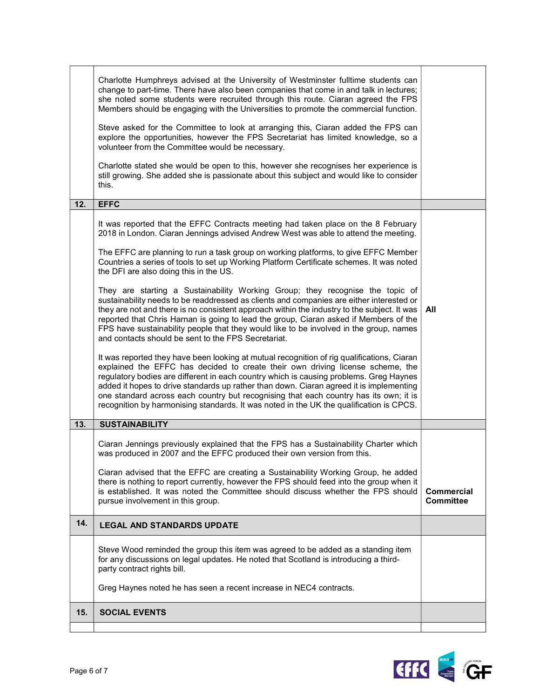|     | Charlotte Humphreys advised at the University of Westminster fulltime students can<br>change to part-time. There have also been companies that come in and talk in lectures;<br>she noted some students were recruited through this route. Ciaran agreed the FPS<br>Members should be engaging with the Universities to promote the commercial function.<br>Steve asked for the Committee to look at arranging this, Ciaran added the FPS can<br>explore the opportunities, however the FPS Secretariat has limited knowledge, so a<br>volunteer from the Committee would be necessary.<br>Charlotte stated she would be open to this, however she recognises her experience is<br>still growing. She added she is passionate about this subject and would like to consider<br>this.                                                                                                                                                                                                       |                                |
|-----|--------------------------------------------------------------------------------------------------------------------------------------------------------------------------------------------------------------------------------------------------------------------------------------------------------------------------------------------------------------------------------------------------------------------------------------------------------------------------------------------------------------------------------------------------------------------------------------------------------------------------------------------------------------------------------------------------------------------------------------------------------------------------------------------------------------------------------------------------------------------------------------------------------------------------------------------------------------------------------------------|--------------------------------|
| 12. | <b>EFFC</b>                                                                                                                                                                                                                                                                                                                                                                                                                                                                                                                                                                                                                                                                                                                                                                                                                                                                                                                                                                                |                                |
|     | It was reported that the EFFC Contracts meeting had taken place on the 8 February<br>2018 in London. Ciaran Jennings advised Andrew West was able to attend the meeting.<br>The EFFC are planning to run a task group on working platforms, to give EFFC Member<br>Countries a series of tools to set up Working Platform Certificate schemes. It was noted<br>the DFI are also doing this in the US.<br>They are starting a Sustainability Working Group; they recognise the topic of                                                                                                                                                                                                                                                                                                                                                                                                                                                                                                     |                                |
|     | sustainability needs to be readdressed as clients and companies are either interested or<br>they are not and there is no consistent approach within the industry to the subject. It was<br>reported that Chris Harnan is going to lead the group, Ciaran asked if Members of the<br>FPS have sustainability people that they would like to be involved in the group, names<br>and contacts should be sent to the FPS Secretariat.<br>It was reported they have been looking at mutual recognition of rig qualifications, Ciaran<br>explained the EFFC has decided to create their own driving license scheme, the<br>regulatory bodies are different in each country which is causing problems. Greg Haynes<br>added it hopes to drive standards up rather than down. Ciaran agreed it is implementing<br>one standard across each country but recognising that each country has its own; it is<br>recognition by harmonising standards. It was noted in the UK the qualification is CPCS. | All                            |
| 13. | <b>SUSTAINABILITY</b>                                                                                                                                                                                                                                                                                                                                                                                                                                                                                                                                                                                                                                                                                                                                                                                                                                                                                                                                                                      |                                |
|     | Ciaran Jennings previously explained that the FPS has a Sustainability Charter which<br>was produced in 2007 and the EFFC produced their own version from this.<br>Ciaran advised that the EFFC are creating a Sustainability Working Group, he added<br>there is nothing to report currently, however the FPS should feed into the group when it<br>is established. It was noted the Committee should discuss whether the FPS should<br>pursue involvement in this group.                                                                                                                                                                                                                                                                                                                                                                                                                                                                                                                 | Commercial<br><b>Committee</b> |
| 14. | <b>LEGAL AND STANDARDS UPDATE</b>                                                                                                                                                                                                                                                                                                                                                                                                                                                                                                                                                                                                                                                                                                                                                                                                                                                                                                                                                          |                                |
|     | Steve Wood reminded the group this item was agreed to be added as a standing item<br>for any discussions on legal updates. He noted that Scotland is introducing a third-<br>party contract rights bill.<br>Greg Haynes noted he has seen a recent increase in NEC4 contracts.                                                                                                                                                                                                                                                                                                                                                                                                                                                                                                                                                                                                                                                                                                             |                                |
| 15. | <b>SOCIAL EVENTS</b>                                                                                                                                                                                                                                                                                                                                                                                                                                                                                                                                                                                                                                                                                                                                                                                                                                                                                                                                                                       |                                |
|     |                                                                                                                                                                                                                                                                                                                                                                                                                                                                                                                                                                                                                                                                                                                                                                                                                                                                                                                                                                                            |                                |